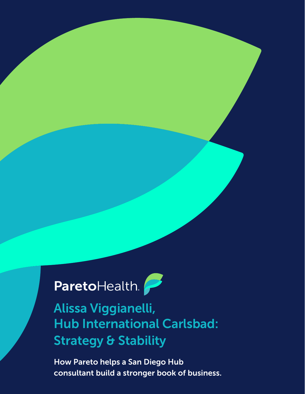ParetoHealth.

Alissa Viggianelli, Hub International Carlsbad: Strategy & Stability

How Pareto helps a San Diego Hub consultant build a stronger book of business.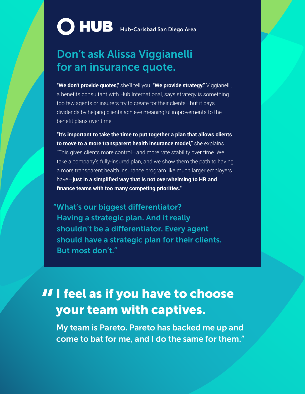## **C** HUB Hub-Carlsbad San Diego Area

## Don't ask Alissa Viggianelli for an insurance quote.

**"We don't provide quotes,"** she'll tell you. **"We provide strategy."** Viggianelli, a benefits consultant with Hub International, says strategy is something too few agents or insurers try to create for their clients—but it pays dividends by helping clients achieve meaningful improvements to the benefit plans over time.

**"It's important to take the time to put together a plan that allows clients to move to a more transparent health insurance model,"** she explains. "This gives clients more control—and more rate stability over time. We take a company's fully-insured plan, and we show them the path to having a more transparent health insurance program like much larger employers have—**just in a simplified way that is not overwhelming to HR and finance teams with too many competing priorities."**

"What's our biggest differentiator? Having a strategic plan. And it really shouldn't be a differentiator. Every agent should have a strategic plan for their clients. But most don't."

## II I feel as if you have to choose<br>your team with captives. your team with captives.

My team is Pareto. Pareto has backed me up and come to bat for me, and I do the same for them."